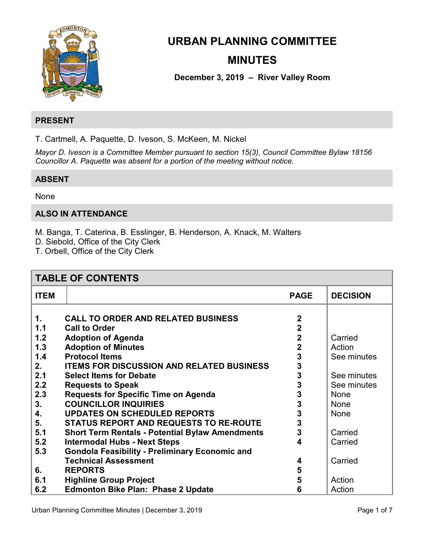

# **URBAN PLANNING COMMITTEE MINUTES**

**December 3, 2019 – River Valley Room** 

# **PRESENT**

T. Cartmell, A. Paquette, D. Iveson, S. McKeen, M. Nickel

*Mayor D. Iveson is a Committee Member pursuant to section 15(3), Council Committee Bylaw 18156 Councillor A. Paquette was absent for a portion of the meeting without notice.* 

# **ABSENT**

None

# **ALSO IN ATTENDANCE**

M. Banga, T. Caterina, B. Esslinger, B. Henderson, A. Knack, M. Walters

D. Siebold, Office of the City Clerk

T. Orbell, Office of the City Clerk

| <b>TABLE OF CONTENTS</b> |                                                        |                |                 |
|--------------------------|--------------------------------------------------------|----------------|-----------------|
| <b>ITEM</b>              |                                                        | <b>PAGE</b>    | <b>DECISION</b> |
|                          |                                                        |                |                 |
| $\mathbf 1$ .            | <b>CALL TO ORDER AND RELATED BUSINESS</b>              | $\mathbf 2$    |                 |
| 1.1                      | <b>Call to Order</b>                                   | $\overline{2}$ |                 |
| 1.2                      | <b>Adoption of Agenda</b>                              | $\mathbf 2$    | Carried         |
| 1.3                      | <b>Adoption of Minutes</b>                             | $\overline{2}$ | Action          |
| 1.4                      | <b>Protocol Items</b>                                  | 3              | See minutes     |
| 2.                       | <b>ITEMS FOR DISCUSSION AND RELATED BUSINESS</b>       | 3              |                 |
| 2.1                      | <b>Select Items for Debate</b>                         | 3              | See minutes     |
| 2.2                      | <b>Requests to Speak</b>                               | 3              | See minutes     |
| 2.3                      | <b>Requests for Specific Time on Agenda</b>            | 3              | <b>None</b>     |
| 3.                       | <b>COUNCILLOR INQUIRIES</b>                            | 3              | <b>None</b>     |
| 4.                       | <b>UPDATES ON SCHEDULED REPORTS</b>                    | 3              | <b>None</b>     |
| 5.                       | <b>STATUS REPORT AND REQUESTS TO RE-ROUTE</b>          | 3              |                 |
| 5.1                      | <b>Short Term Rentals - Potential Bylaw Amendments</b> | 3              | Carried         |
| 5.2                      | <b>Intermodal Hubs - Next Steps</b>                    | 4              | Carried         |
| 5.3                      | <b>Gondola Feasibility - Preliminary Economic and</b>  |                |                 |
|                          | <b>Technical Assessment</b>                            | 4              | Carried         |
| 6.                       | <b>REPORTS</b>                                         | 5              |                 |
| 6.1                      | <b>Highline Group Project</b>                          | 5              | Action          |
| 6.2                      | <b>Edmonton Bike Plan: Phase 2 Update</b>              | 6              | Action          |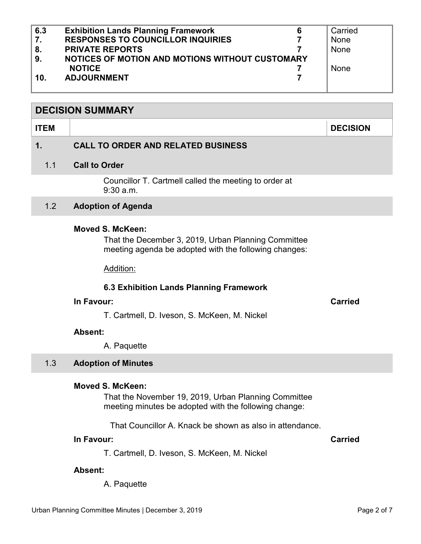<span id="page-1-0"></span>

| 6.3 | <b>Exhibition Lands Planning Framework</b><br>6 | Carried     |
|-----|-------------------------------------------------|-------------|
| 7.  | <b>RESPONSES TO COUNCILLOR INQUIRIES</b>        | None        |
| 8.  | <b>PRIVATE REPORTS</b>                          | None        |
| 9.  | NOTICES OF MOTION AND MOTIONS WITHOUT CUSTOMARY |             |
|     | <b>NOTICE</b>                                   | <b>None</b> |
| 10. | <b>ADJOURNMENT</b>                              |             |
|     |                                                 |             |

### **DECISION SUMMARY**

#### **ITEM DECISION**

# **1. CALL TO ORDER AND RELATED BUSINESS**

#### 1.1 **Call to Order**

Councillor T. Cartmell called the meeting to order at 9:30 a.m.

#### 1.2 **Adoption of Agenda**

#### **Moved S. McKeen:**

That the December 3, 2019, Urban Planning Committee meeting agenda be adopted with the following changes:

Addition:

#### **6.3 Exhibition Lands Planning Framework**

#### **In Favour: Carried**

T. Cartmell, D. Iveson, S. McKeen, M. Nickel

#### **Absent:**

A. Paquette

#### 1.3 **Adoption of Minutes**

#### **Moved S. McKeen:**

That the November 19, 2019, Urban Planning Committee meeting minutes be adopted with the following change:

That Councillor A. Knack be shown as also in attendance.

# **In Favour: Carried**

T. Cartmell, D. Iveson, S. McKeen, M. Nickel

#### **Absent:**

A. Paquette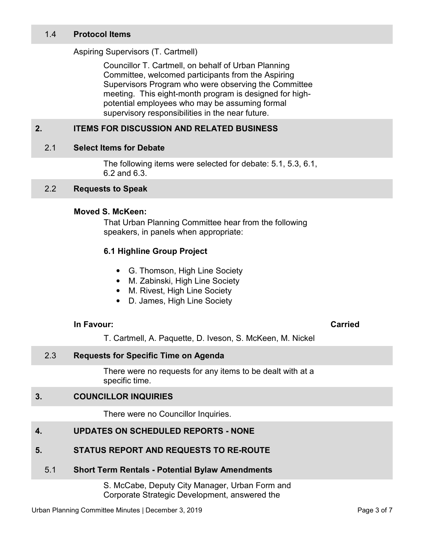### <span id="page-2-0"></span>1.4 **Protocol Items**

#### Aspiring Supervisors (T. Cartmell)

Councillor T. Cartmell, on behalf of Urban Planning Committee, welcomed participants from the Aspiring Supervisors Program who were observing the Committee meeting. This eight-month program is designed for highpotential employees who may be assuming formal supervisory responsibilities in the near future.

# **2. ITEMS FOR DISCUSSION AND RELATED BUSINESS**

#### 2.1 **Select Items for Debate**

The following items were selected for debate: 5.1, 5.3, 6.1, 6.2 and 6.3.

#### 2.2 **Requests to Speak**

#### **Moved S. McKeen:**

That Urban Planning Committee hear from the following speakers, in panels when appropriate:

#### **6.1 Highline Group Project**

- G. Thomson, High Line Society
- M. Zabinski, High Line Society
- M. Rivest, High Line Society
- D. James, High Line Society

#### **In Favour: Carried**

T. Cartmell, A. Paquette, D. Iveson, S. McKeen, M. Nickel

# 2.3 **Requests for Specific Time on Agenda**

There were no requests for any items to be dealt with at a specific time.

### **3. COUNCILLOR INQUIRIES**

There were no Councillor Inquiries.

# **4. UPDATES ON SCHEDULED REPORTS - NONE**

#### **5. STATUS REPORT AND REQUESTS TO RE-ROUTE**

#### 5.1 **Short Term Rentals - Potential Bylaw Amendments**

S. McCabe, Deputy City Manager, Urban Form and Corporate Strategic Development, answered the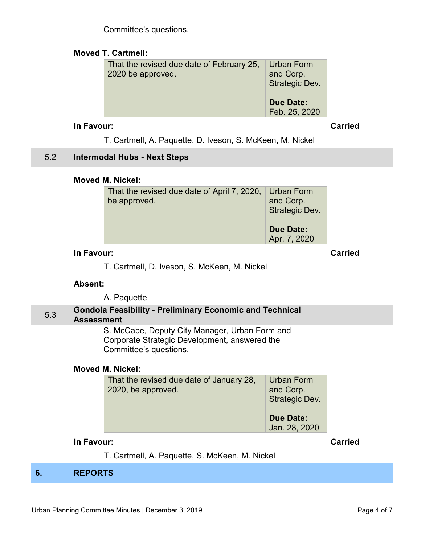Committee's questions.

# <span id="page-3-0"></span>**Moved T. Cartmell:**

| That the revised due date of February 25,<br>2020 be approved. | Urban Form<br>and Corp.<br>Strategic Dev. |  |
|----------------------------------------------------------------|-------------------------------------------|--|
|                                                                | <b>Due Date:</b><br>Feb. 25, 2020         |  |

# **In Favour: Carried**

T. Cartmell, A. Paquette, D. Iveson, S. McKeen, M. Nickel

# 5.2 **Intermodal Hubs - Next Steps**

# **Moved M. Nickel:**

| That the revised due date of April 7, 2020, Urban Form | and Corp.                        |
|--------------------------------------------------------|----------------------------------|
| be approved.                                           | Strategic Dev.                   |
|                                                        | <b>Due Date:</b><br>Apr. 7, 2020 |

# **In Favour: Carried**

T. Cartmell, D. Iveson, S. McKeen, M. Nickel

# **Absent:**

A. Paquette

#### 5.3 **Gondola Feasibility - Preliminary Economic and Technical Assessment**

S. McCabe, Deputy City Manager, Urban Form and Corporate Strategic Development, answered the Committee's questions.

# **Moved M. Nickel:**

| That the revised due date of January 28,<br>2020, be approved. | Urban Form<br>and Corp.<br>Strategic Dev. |
|----------------------------------------------------------------|-------------------------------------------|
|                                                                | <b>Due Date:</b><br>Jan. 28, 2020         |

# **In Favour: Carried**

T. Cartmell, A. Paquette, S. McKeen, M. Nickel

# **6. REPORTS**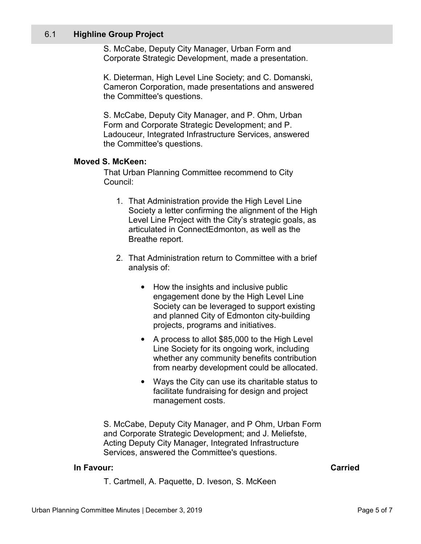#### <span id="page-4-0"></span>6.1 **Highline Group Project**

S. McCabe, Deputy City Manager, Urban Form and Corporate Strategic Development, made a presentation.

K. Dieterman, High Level Line Society; and C. Domanski, Cameron Corporation, made presentations and answered the Committee's questions.

S. McCabe, Deputy City Manager, and P. Ohm, Urban Form and Corporate Strategic Development; and P. Ladouceur, Integrated Infrastructure Services, answered the Committee's questions.

### **Moved S. McKeen:**

That Urban Planning Committee recommend to City Council:

- 1. That Administration provide the High Level Line Society a letter confirming the alignment of the High Level Line Project with the City's strategic goals, as articulated in ConnectEdmonton, as well as the Breathe report.
- 2. That Administration return to Committee with a brief analysis of:
	- How the insights and inclusive public engagement done by the High Level Line Society can be leveraged to support existing and planned City of Edmonton city-building projects, programs and initiatives.
	- A process to allot \$85,000 to the High Level Line Society for its ongoing work, including whether any community benefits contribution from nearby development could be allocated.
	- Ways the City can use its charitable status to facilitate fundraising for design and project management costs.

S. McCabe, Deputy City Manager, and P Ohm, Urban Form and Corporate Strategic Development; and J. Meliefste, Acting Deputy City Manager, Integrated Infrastructure Services, answered the Committee's questions.

#### **In Favour: Carried**

T. Cartmell, A. Paquette, D. Iveson, S. McKeen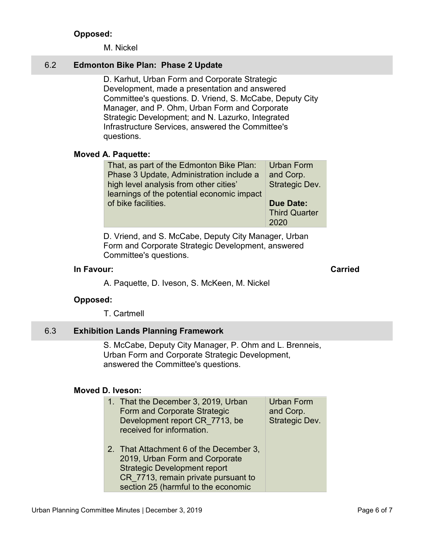# **Opposed:**

M. Nickel

# <span id="page-5-0"></span>6.2 **Edmonton Bike Plan: Phase 2 Update**

D. Karhut, Urban Form and Corporate Strategic Development, made a presentation and answered Committee's questions. D. Vriend, S. McCabe, Deputy City Manager, and P. Ohm, Urban Form and Corporate Strategic Development; and N. Lazurko, Integrated Infrastructure Services, answered the Committee's questions.

### **Moved A. Paquette:**

| That, as part of the Edmonton Bike Plan:   | Urban Form           |
|--------------------------------------------|----------------------|
| Phase 3 Update, Administration include a   | and Corp.            |
| high level analysis from other cities'     | Strategic Dev.       |
| learnings of the potential economic impact |                      |
| of bike facilities.                        | <b>Due Date:</b>     |
|                                            | <b>Third Quarter</b> |
|                                            | 2020                 |

D. Vriend, and S. McCabe, Deputy City Manager, Urban Form and Corporate Strategic Development, answered Committee's questions.

# **In Favour: Carried**

A. Paquette, D. Iveson, S. McKeen, M. Nickel

# **Opposed:**

T. Cartmell

# 6.3 **Exhibition Lands Planning Framework**

S. McCabe, Deputy City Manager, P. Ohm and L. Brenneis, Urban Form and Corporate Strategic Development, answered the Committee's questions.

# **Moved D. Iveson:**

| 1. That the December 3, 2019, Urban<br>Form and Corporate Strategic<br>Development report CR 7713, be<br>received for information.                                                             | <b>Urban Form</b><br>and Corp.<br>Strategic Dev. |
|------------------------------------------------------------------------------------------------------------------------------------------------------------------------------------------------|--------------------------------------------------|
| 2. That Attachment 6 of the December 3,<br>2019, Urban Form and Corporate<br><b>Strategic Development report</b><br>CR_7713, remain private pursuant to<br>section 25 (harmful to the economic |                                                  |